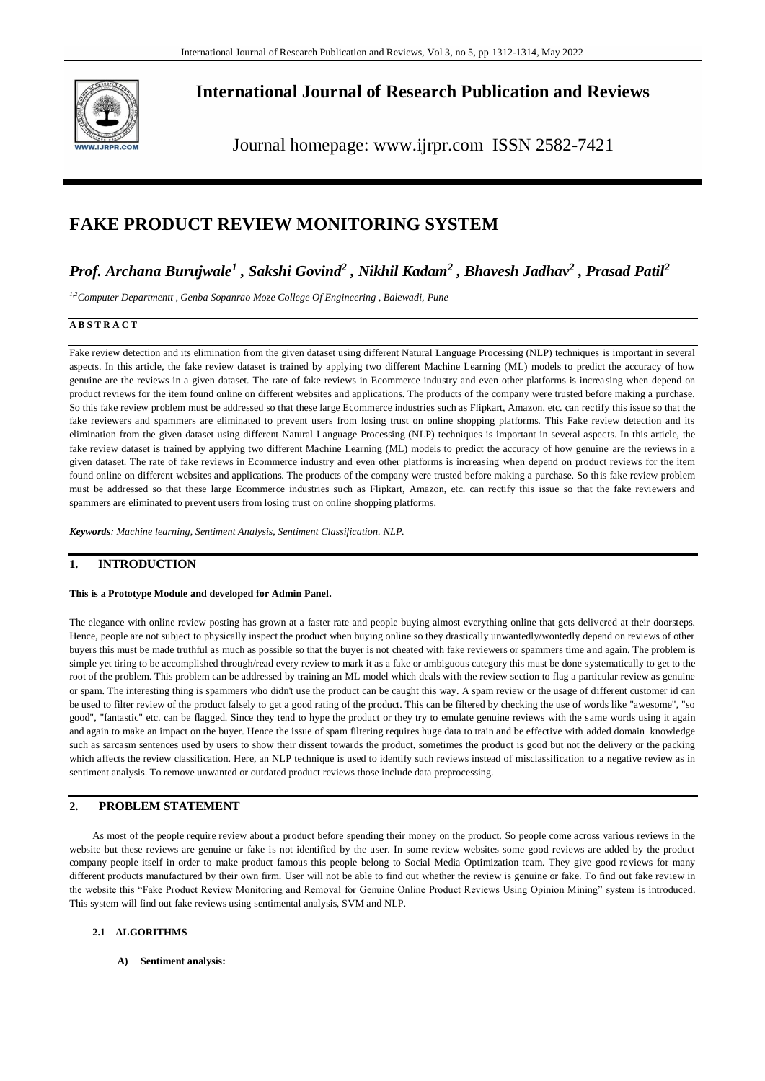

**International Journal of Research Publication and Reviews**

Journal homepage: www.ijrpr.com ISSN 2582-7421

# **FAKE PRODUCT REVIEW MONITORING SYSTEM**

# *Prof. Archana Burujwale<sup>1</sup> , Sakshi Govind<sup>2</sup> , Nikhil Kadam<sup>2</sup> , Bhavesh Jadhav<sup>2</sup> , Prasad Patil<sup>2</sup>*

*1,2Computer Departmentt , Genba Sopanrao Moze College Of Engineering , Balewadi, Pune* 

#### **A B S T R A C T**

Fake review detection and its elimination from the given dataset using different Natural Language Processing (NLP) techniques is important in several aspects. In this article, the fake review dataset is trained by applying two different Machine Learning (ML) models to predict the accuracy of how genuine are the reviews in a given dataset. The rate of fake reviews in Ecommerce industry and even other platforms is increa sing when depend on product reviews for the item found online on different websites and applications. The products of the company were trusted before making a purchase. So this fake review problem must be addressed so that these large Ecommerce industries such as Flipkart, Amazon, etc. can rectify this issue so that the fake reviewers and spammers are eliminated to prevent users from losing trust on online shopping platforms. This Fake review detection and its elimination from the given dataset using different Natural Language Processing (NLP) techniques is important in several aspects. In this article, the fake review dataset is trained by applying two different Machine Learning (ML) models to predict the accuracy of how genuine are the reviews in a given dataset. The rate of fake reviews in Ecommerce industry and even other platforms is increasing when depend on product reviews for the item found online on different websites and applications. The products of the company were trusted before making a purchase. So this fake review problem must be addressed so that these large Ecommerce industries such as Flipkart, Amazon, etc. can rectify this issue so that the fake reviewers and spammers are eliminated to prevent users from losing trust on online shopping platforms.

*Keywords: Machine learning, Sentiment Analysis, Sentiment Classification. NLP.* 

## **1. INTRODUCTION**

#### **This is a Prototype Module and developed for Admin Panel.**

The elegance with online review posting has grown at a faster rate and people buying almost everything online that gets delivered at their doorsteps. Hence, people are not subject to physically inspect the product when buying online so they drastically unwantedly/wontedly depend on reviews of other buyers this must be made truthful as much as possible so that the buyer is not cheated with fake reviewers or spammers time and again. The problem is simple yet tiring to be accomplished through/read every review to mark it as a fake or ambiguous category this must be done systematically to get to the root of the problem. This problem can be addressed by training an ML model which deals with the review section to flag a particular review as genuine or spam. The interesting thing is spammers who didn't use the product can be caught this way. A spam review or the usage of different customer id can be used to filter review of the product falsely to get a good rating of the product. This can be filtered by checking the use of words like "awesome", "so good", "fantastic" etc. can be flagged. Since they tend to hype the product or they try to emulate genuine reviews with the same words using it again and again to make an impact on the buyer. Hence the issue of spam filtering requires huge data to train and be effective with added domain knowledge such as sarcasm sentences used by users to show their dissent towards the product, sometimes the product is good but not the delivery or the packing which affects the review classification. Here, an NLP technique is used to identify such reviews instead of misclassification to a negative review as in sentiment analysis. To remove unwanted or outdated product reviews those include data preprocessing.

### **2. PROBLEM STATEMENT**

As most of the people require review about a product before spending their money on the product. So people come across various reviews in the website but these reviews are genuine or fake is not identified by the user. In some review websites some good reviews are added by the product company people itself in order to make product famous this people belong to Social Media Optimization team. They give good reviews for many different products manufactured by their own firm. User will not be able to find out whether the review is genuine or fake. To find out fake review in the website this "Fake Product Review Monitoring and Removal for Genuine Online Product Reviews Using Opinion Mining" system is introduced. This system will find out fake reviews using sentimental analysis, SVM and NLP.

#### **2.1 ALGORITHMS**

**A) Sentiment analysis:**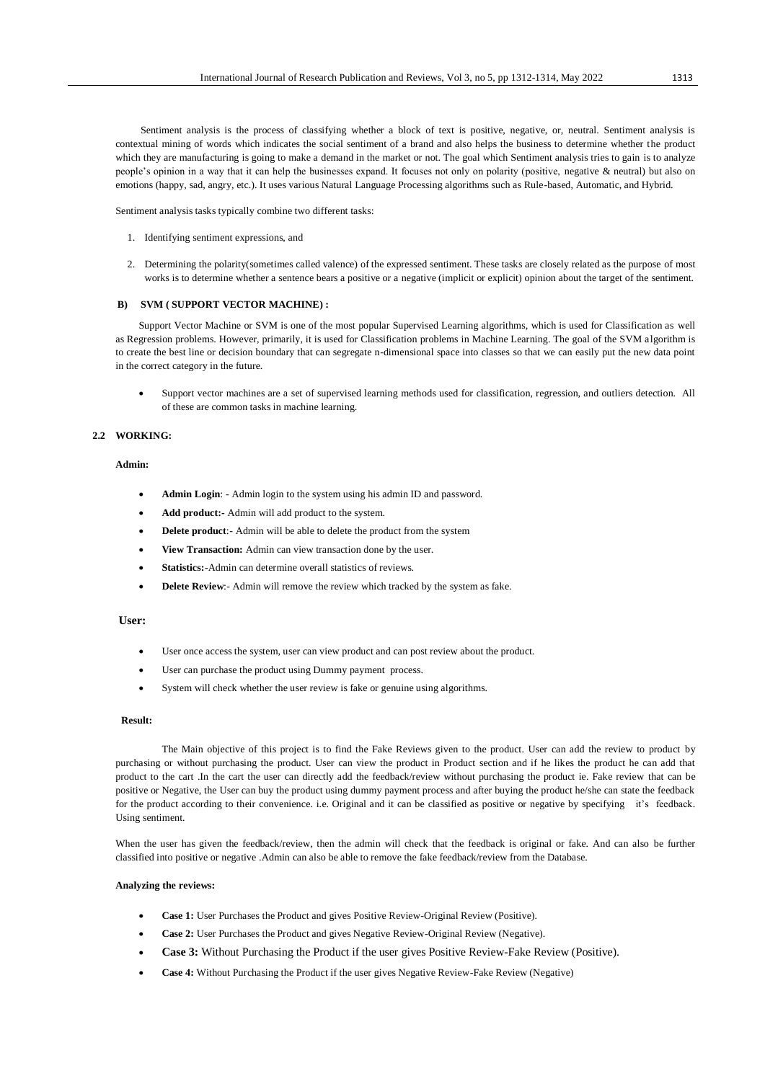[Sentiment](https://www.geeksforgeeks.org/twitter-sentiment-analysis-using-python/) [analysis](https://www.geeksforgeeks.org/twitter-sentiment-analysis-using-python/) [is](https://www.geeksforgeeks.org/twitter-sentiment-analysis-using-python/) the process of classifying whether a block of text is positive, negative, or, neutral. Sentiment analysis is contextual mining of words which indicates the social sentiment of a brand and also helps the business to determine whether the product which they are manufacturing is going to make a demand in the market or not. The goal which Sentiment analysis tries to gain is to analyze people's opinion in a way that it can help the businesses expand. It focuses not only on polarity (positive, negative & neutral) but also on emotions (happy, sad, angry, etc.). It uses various Natural Language Processing algorithms such as Rule-based, Automatic, and Hybrid.

Sentiment analysis tasks typically combine two different tasks:

- 1. Identifying sentiment expressions, and
- 2. Determining the polarity(sometimes called valence) of the expressed sentiment. These tasks are closely related as the purpose of most works is to determine whether a sentence bears a positive or a negative (implicit or explicit) opinion about the target of the sentiment.

#### **B) SVM ( SUPPORT VECTOR MACHINE) :**

Support Vector Machine or SVM is one of the most popular Supervised Learning algorithms, which is used for Classification as well as Regression problems. However, primarily, it is used for Classification problems in Machine Learning. The goal of the SVM algorithm is to create the best line or decision boundary that can segregate n-dimensional space into classes so that we can easily put the new data point in the correct category in the future.

 Support vector machines are a set of supervised learning methods used for classification, regression, and outliers detection. All of these are common tasks in machine learning.

#### **2.2 WORKING:**

#### **Admin:**

- **Admin Login**: Admin login to the system using his admin ID and password.
- **Add product:-** Admin will add product to the system.
- **Delete product**:- Admin will be able to delete the product from the system
- **View Transaction:** Admin can view transaction done by the user.
- **Statistics:**-Admin can determine overall statistics of reviews.
- **Delete Review**:- Admin will remove the review which tracked by the system as fake.

#### **User:**

- User once access the system, user can view product and can post review about the product.
- User can purchase the product using Dummy payment process.
- System will check whether the user review is fake or genuine using algorithms.

#### **Result:**

The Main objective of this project is to find the Fake Reviews given to the product. User can add the review to product by purchasing or without purchasing the product. User can view the product in Product section and if he likes the product he can add that product to the cart .In the cart the user can directly add the feedback/review without purchasing the product ie. Fake review that can be positive or Negative, the User can buy the product using dummy payment process and after buying the product he/she can state the feedback for the product according to their convenience. i.e. Original and it can be classified as positive or negative by specifying it's feedback. Using sentiment.

When the user has given the feedback/review, then the admin will check that the feedback is original or fake. And can also be further classified into positive or negative .Admin can also be able to remove the fake feedback/review from the Database.

#### **Analyzing the reviews:**

- **Case 1:** User Purchases the Product and gives Positive Review-Original Review (Positive).
- **Case 2:** User Purchases the Product and gives Negative Review-Original Review (Negative).
- **Case 3:** Without Purchasing the Product if the user gives Positive Review-Fake Review (Positive).
- **Case 4:** Without Purchasing the Product if the user gives Negative Review-Fake Review (Negative)